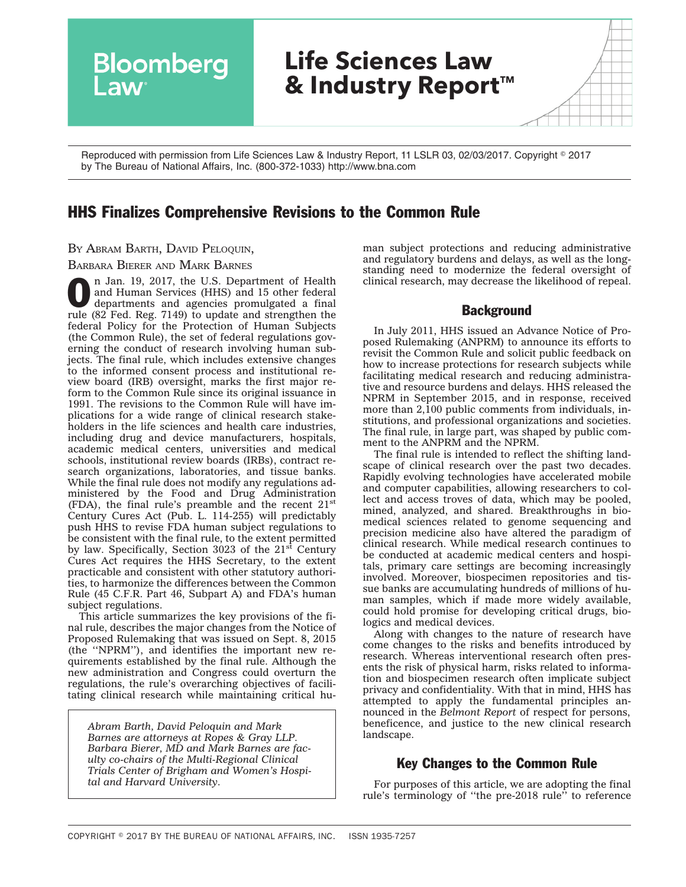

Reproduced with permission from Life Sciences Law & Industry Report, 11 LSLR 03, 02/03/2017. Copyright ◎ 2017 by The Bureau of National Affairs, Inc. (800-372-1033) http://www.bna.com

# HHS Finalizes Comprehensive Revisions to the Common Rule

BY ABRAM BARTH, DAVID PELOQUIN,

#### BARBARA BIERER AND MARK BARNES

**O** n Jan. 19, 2017, the U.S. Department of Health<br>
and Human Services (HHS) and 15 other federal<br>
departments and agencies promulgated a [final](http://src.bna.com/lFx)<br>
rule (22 Ecd. Bog 7140) to use and attention the and Human Services (HHS) and 15 other federal [rule](http://src.bna.com/lFx) (82 Fed. Reg. 7149) to update and strengthen the federal Policy for the Protection of Human Subjects (the Common Rule), the set of federal regulations governing the conduct of research involving human subjects. The final rule, which includes extensive changes to the informed consent process and institutional review board (IRB) oversight, marks the first major reform to the Common Rule since its original issuance in 1991. The revisions to the Common Rule will have implications for a wide range of clinical research stakeholders in the life sciences and health care industries, including drug and device manufacturers, hospitals, academic medical centers, universities and medical schools, institutional review boards (IRBs), contract research organizations, laboratories, and tissue banks. While the final rule does not modify any regulations administered by the Food and Drug Administration (FDA), the final rule's preamble and the recent  $21<sup>st</sup>$ Century Cures Act (Pub. L. 114-255) will predictably push HHS to revise FDA human subject regulations to be consistent with the final rule, to the extent permitted by law. Specifically, Section 3023 of the  $21<sup>st</sup>$  Century Cures Act requires the HHS Secretary, to the extent practicable and consistent with other statutory authorities, to harmonize the differences between the Common Rule (45 C.F.R. Part 46, Subpart A) and FDA's human subject regulations.

This article summarizes the key provisions of the final rule, describes the major changes from the Notice of Proposed Rulemaking that was issued on Sept. 8, 2015 (the ''NPRM''), and identifies the important new requirements established by the final rule. Although the new administration and Congress could overturn the regulations, the rule's overarching objectives of facilitating clinical research while maintaining critical hu-

*Abram Barth, David Peloquin and Mark Barnes are attorneys at Ropes & Gray LLP. Barbara Bierer, MD and Mark Barnes are faculty co-chairs of the Multi-Regional Clinical Trials Center of Brigham and Women's Hospital and Harvard University.*

man subject protections and reducing administrative and regulatory burdens and delays, as well as the longstanding need to modernize the federal oversight of clinical research, may decrease the likelihood of repeal.

### **Background**

In July 2011, HHS issued an Advance Notice of Proposed Rulemaking (ANPRM) to announce its efforts to revisit the Common Rule and solicit public feedback on how to increase protections for research subjects while facilitating medical research and reducing administrative and resource burdens and delays. HHS released the NPRM in September 2015, and in response, received more than 2,100 public comments from individuals, institutions, and professional organizations and societies. The final rule, in large part, was shaped by public comment to the ANPRM and the NPRM.

The final rule is intended to reflect the shifting landscape of clinical research over the past two decades. Rapidly evolving technologies have accelerated mobile and computer capabilities, allowing researchers to collect and access troves of data, which may be pooled, mined, analyzed, and shared. Breakthroughs in biomedical sciences related to genome sequencing and precision medicine also have altered the paradigm of clinical research. While medical research continues to be conducted at academic medical centers and hospitals, primary care settings are becoming increasingly involved. Moreover, biospecimen repositories and tissue banks are accumulating hundreds of millions of human samples, which if made more widely available, could hold promise for developing critical drugs, biologics and medical devices.

Along with changes to the nature of research have come changes to the risks and benefits introduced by research. Whereas interventional research often presents the risk of physical harm, risks related to information and biospecimen research often implicate subject privacy and confidentiality. With that in mind, HHS has attempted to apply the fundamental principles announced in the *Belmont Report* of respect for persons, beneficence, and justice to the new clinical research landscape.

## Key Changes to the Common Rule

For purposes of this article, we are adopting the final rule's terminology of ''the pre-2018 rule'' to reference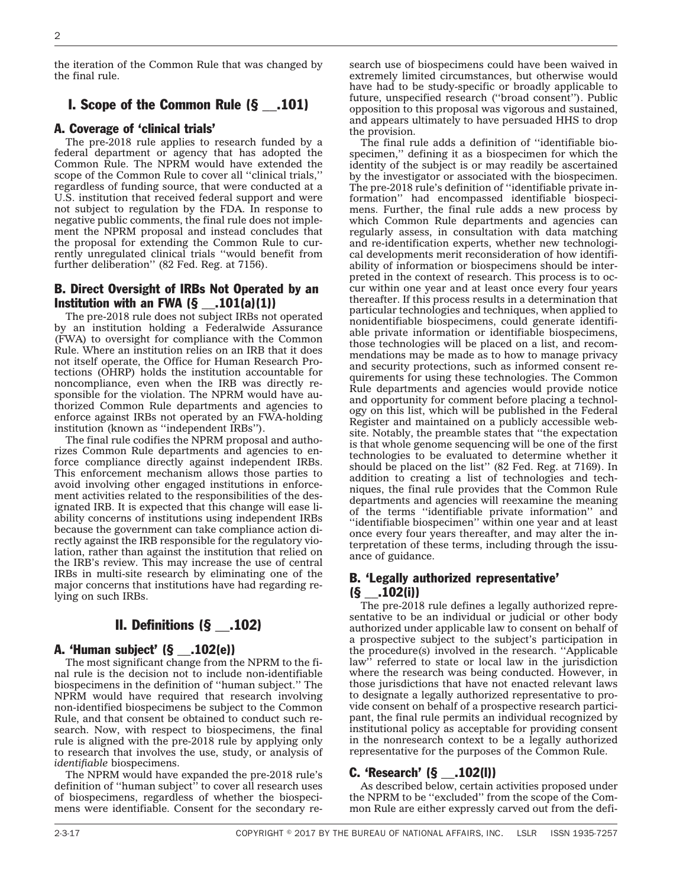the iteration of the Common Rule that was changed by the final rule.

## I. Scope of the Common Rule (§ \_\_.101)

#### A. Coverage of 'clinical trials'

The pre-2018 rule applies to research funded by a federal department or agency that has adopted the Common Rule. The NPRM would have extended the scope of the Common Rule to cover all ''clinical trials,'' regardless of funding source, that were conducted at a U.S. institution that received federal support and were not subject to regulation by the FDA. In response to negative public comments, the final rule does not implement the NPRM proposal and instead concludes that the proposal for extending the Common Rule to currently unregulated clinical trials ''would benefit from further deliberation'' (82 Fed. Reg. at 7156).

#### B. Direct Oversight of IRBs Not Operated by an Institution with an FWA  $(\S$  \_\_\_.101(a)(1))

The pre-2018 rule does not subject IRBs not operated by an institution holding a Federalwide Assurance (FWA) to oversight for compliance with the Common Rule. Where an institution relies on an IRB that it does not itself operate, the Office for Human Research Protections (OHRP) holds the institution accountable for noncompliance, even when the IRB was directly responsible for the violation. The NPRM would have authorized Common Rule departments and agencies to enforce against IRBs not operated by an FWA-holding institution (known as ''independent IRBs'').

The final rule codifies the NPRM proposal and authorizes Common Rule departments and agencies to enforce compliance directly against independent IRBs. This enforcement mechanism allows those parties to avoid involving other engaged institutions in enforcement activities related to the responsibilities of the designated IRB. It is expected that this change will ease liability concerns of institutions using independent IRBs because the government can take compliance action directly against the IRB responsible for the regulatory violation, rather than against the institution that relied on the IRB's review. This may increase the use of central IRBs in multi-site research by eliminating one of the major concerns that institutions have had regarding relying on such IRBs.

## II. Definitions (§ \_\_.102)

#### A. 'Human subject' (§ \_\_.102(e))

The most significant change from the NPRM to the final rule is the decision not to include non-identifiable biospecimens in the definition of ''human subject.'' The NPRM would have required that research involving non-identified biospecimens be subject to the Common Rule, and that consent be obtained to conduct such research. Now, with respect to biospecimens, the final rule is aligned with the pre-2018 rule by applying only to research that involves the use, study, or analysis of *identifiable* biospecimens.

The NPRM would have expanded the pre-2018 rule's definition of ''human subject'' to cover all research uses of biospecimens, regardless of whether the biospecimens were identifiable. Consent for the secondary research use of biospecimens could have been waived in extremely limited circumstances, but otherwise would have had to be study-specific or broadly applicable to future, unspecified research (''broad consent''). Public opposition to this proposal was vigorous and sustained, and appears ultimately to have persuaded HHS to drop the provision.

The final rule adds a definition of ''identifiable biospecimen,'' defining it as a biospecimen for which the identity of the subject is or may readily be ascertained by the investigator or associated with the biospecimen. The pre-2018 rule's definition of ''identifiable private information'' had encompassed identifiable biospecimens. Further, the final rule adds a new process by which Common Rule departments and agencies can regularly assess, in consultation with data matching and re-identification experts, whether new technological developments merit reconsideration of how identifiability of information or biospecimens should be interpreted in the context of research. This process is to occur within one year and at least once every four years thereafter. If this process results in a determination that particular technologies and techniques, when applied to nonidentifiable biospecimens, could generate identifiable private information or identifiable biospecimens, those technologies will be placed on a list, and recommendations may be made as to how to manage privacy and security protections, such as informed consent requirements for using these technologies. The Common Rule departments and agencies would provide notice and opportunity for comment before placing a technology on this list, which will be published in the Federal Register and maintained on a publicly accessible website. Notably, the preamble states that ''the expectation is that whole genome sequencing will be one of the first technologies to be evaluated to determine whether it should be placed on the list'' (82 Fed. Reg. at 7169). In addition to creating a list of technologies and techniques, the final rule provides that the Common Rule departments and agencies will reexamine the meaning of the terms ''identifiable private information'' and ''identifiable biospecimen'' within one year and at least once every four years thereafter, and may alter the interpretation of these terms, including through the issuance of guidance.

#### B. 'Legally authorized representative'  $(S$  .102(i))

The pre-2018 rule defines a legally authorized representative to be an individual or judicial or other body authorized under applicable law to consent on behalf of a prospective subject to the subject's participation in the procedure(s) involved in the research. ''Applicable law" referred to state or local law in the jurisdiction where the research was being conducted. However, in those jurisdictions that have not enacted relevant laws to designate a legally authorized representative to provide consent on behalf of a prospective research participant, the final rule permits an individual recognized by institutional policy as acceptable for providing consent in the nonresearch context to be a legally authorized representative for the purposes of the Common Rule.

#### C. 'Research' (§ \_\_.102(l))

As described below, certain activities proposed under the NPRM to be ''excluded'' from the scope of the Common Rule are either expressly carved out from the defi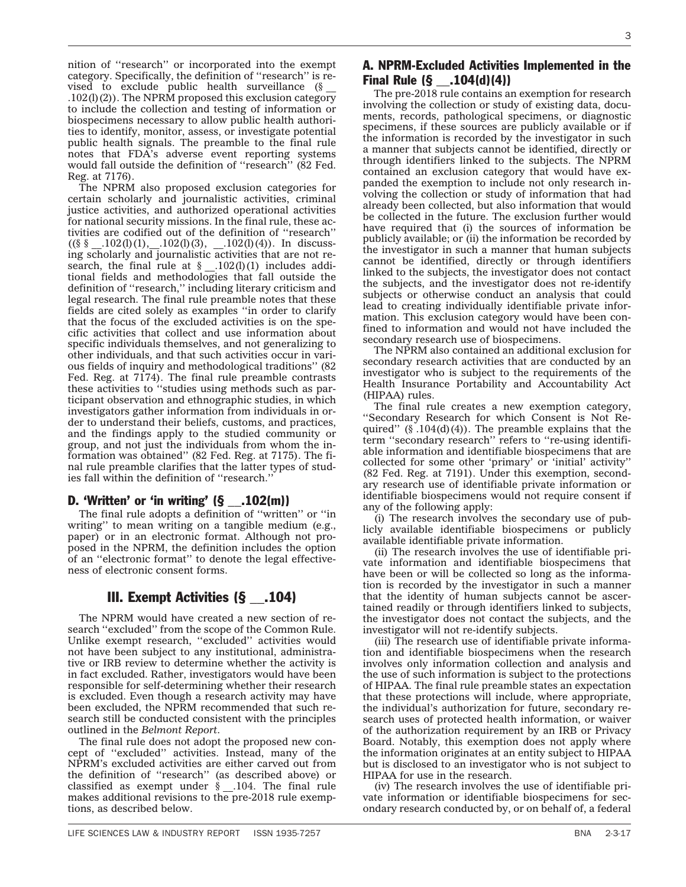nition of ''research'' or incorporated into the exempt category. Specifically, the definition of ''research'' is revised to exclude public health surveillance  $(\S)$ .102(l)(2)). The NPRM proposed this exclusion category to include the collection and testing of information or biospecimens necessary to allow public health authorities to identify, monitor, assess, or investigate potential public health signals. The preamble to the final rule notes that FDA's adverse event reporting systems would fall outside the definition of ''research'' (82 Fed. Reg. at 7176).

The NPRM also proposed exclusion categories for certain scholarly and journalistic activities, criminal justice activities, and authorized operational activities for national security missions. In the final rule, these activities are codified out of the definition of ''research''  $((\S \S \_102(0)(1), 102(0)(3), 102(0)(4)).$  In discussing scholarly and journalistic activities that are not research, the final rule at  $\S$  \_.102(l)(1) includes additional fields and methodologies that fall outside the definition of ''research,'' including literary criticism and legal research. The final rule preamble notes that these fields are cited solely as examples ''in order to clarify that the focus of the excluded activities is on the specific activities that collect and use information about specific individuals themselves, and not generalizing to other individuals, and that such activities occur in various fields of inquiry and methodological traditions'' (82 Fed. Reg. at 7174). The final rule preamble contrasts these activities to ''studies using methods such as participant observation and ethnographic studies, in which investigators gather information from individuals in order to understand their beliefs, customs, and practices, and the findings apply to the studied community or group, and not just the individuals from whom the information was obtained'' (82 Fed. Reg. at 7175). The final rule preamble clarifies that the latter types of studies fall within the definition of ''research.''

## D. 'Written' or 'in writing'  $(§$  \_\_.102(m))

The final rule adopts a definition of ''written'' or ''in writing'' to mean writing on a tangible medium (e.g., paper) or in an electronic format. Although not proposed in the NPRM, the definition includes the option of an ''electronic format'' to denote the legal effectiveness of electronic consent forms.

## III. Exempt Activities (§ \_\_.104)

The NPRM would have created a new section of research ''excluded'' from the scope of the Common Rule. Unlike exempt research, ''excluded'' activities would not have been subject to any institutional, administrative or IRB review to determine whether the activity is in fact excluded. Rather, investigators would have been responsible for self-determining whether their research is excluded. Even though a research activity may have been excluded, the NPRM recommended that such research still be conducted consistent with the principles outlined in the *Belmont Report*.

The final rule does not adopt the proposed new concept of ''excluded'' activities. Instead, many of the NPRM's excluded activities are either carved out from the definition of ''research'' (as described above) or classified as exempt under § \_\_.104. The final rule makes additional revisions to the pre-2018 rule exemptions, as described below.

### A. NPRM-Excluded Activities Implemented in the **Final Rule**  $(\S$  **.104(d)(4))**

The pre-2018 rule contains an exemption for research involving the collection or study of existing data, documents, records, pathological specimens, or diagnostic specimens, if these sources are publicly available or if the information is recorded by the investigator in such a manner that subjects cannot be identified, directly or through identifiers linked to the subjects. The NPRM contained an exclusion category that would have expanded the exemption to include not only research involving the collection or study of information that had already been collected, but also information that would be collected in the future. The exclusion further would have required that (i) the sources of information be publicly available; or (ii) the information be recorded by the investigator in such a manner that human subjects cannot be identified, directly or through identifiers linked to the subjects, the investigator does not contact the subjects, and the investigator does not re-identify subjects or otherwise conduct an analysis that could lead to creating individually identifiable private information. This exclusion category would have been confined to information and would not have included the secondary research use of biospecimens.

The NPRM also contained an additional exclusion for secondary research activities that are conducted by an investigator who is subject to the requirements of the Health Insurance Portability and Accountability Act (HIPAA) rules.

The final rule creates a new exemption category, ''Secondary Research for which Consent is Not Required"  $(\S.104(d)(4))$ . The preamble explains that the term ''secondary research'' refers to ''re-using identifiable information and identifiable biospecimens that are collected for some other 'primary' or 'initial' activity'' (82 Fed. Reg. at 7191). Under this exemption, secondary research use of identifiable private information or identifiable biospecimens would not require consent if any of the following apply:

(i) The research involves the secondary use of publicly available identifiable biospecimens or publicly available identifiable private information.

(ii) The research involves the use of identifiable private information and identifiable biospecimens that have been or will be collected so long as the information is recorded by the investigator in such a manner that the identity of human subjects cannot be ascertained readily or through identifiers linked to subjects, the investigator does not contact the subjects, and the investigator will not re-identify subjects.

(iii) The research use of identifiable private information and identifiable biospecimens when the research involves only information collection and analysis and the use of such information is subject to the protections of HIPAA. The final rule preamble states an expectation that these protections will include, where appropriate, the individual's authorization for future, secondary research uses of protected health information, or waiver of the authorization requirement by an IRB or Privacy Board. Notably, this exemption does not apply where the information originates at an entity subject to HIPAA but is disclosed to an investigator who is not subject to HIPAA for use in the research.

(iv) The research involves the use of identifiable private information or identifiable biospecimens for secondary research conducted by, or on behalf of, a federal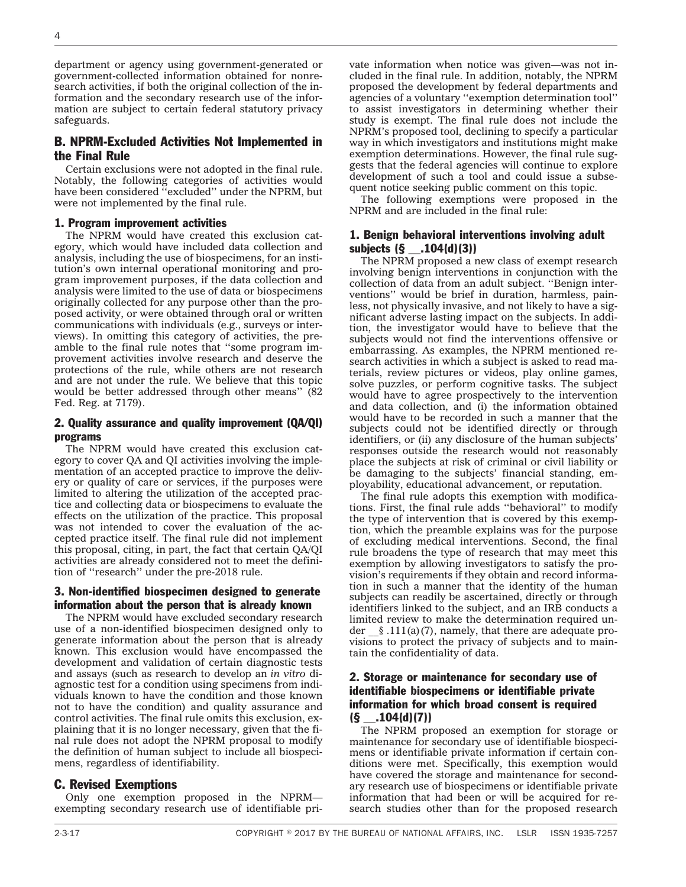department or agency using government-generated or government-collected information obtained for nonresearch activities, if both the original collection of the information and the secondary research use of the information are subject to certain federal statutory privacy safeguards.

### B. NPRM-Excluded Activities Not Implemented in the Final Rule

Certain exclusions were not adopted in the final rule. Notably, the following categories of activities would have been considered ''excluded'' under the NPRM, but were not implemented by the final rule.

#### 1. Program improvement activities

The NPRM would have created this exclusion category, which would have included data collection and analysis, including the use of biospecimens, for an institution's own internal operational monitoring and program improvement purposes, if the data collection and analysis were limited to the use of data or biospecimens originally collected for any purpose other than the proposed activity, or were obtained through oral or written communications with individuals (e.g., surveys or interviews). In omitting this category of activities, the preamble to the final rule notes that ''some program improvement activities involve research and deserve the protections of the rule, while others are not research and are not under the rule. We believe that this topic would be better addressed through other means'' (82 Fed. Reg. at 7179).

#### 2. Quality assurance and quality improvement (QA/QI) programs

The NPRM would have created this exclusion category to cover QA and QI activities involving the implementation of an accepted practice to improve the delivery or quality of care or services, if the purposes were limited to altering the utilization of the accepted practice and collecting data or biospecimens to evaluate the effects on the utilization of the practice. This proposal was not intended to cover the evaluation of the accepted practice itself. The final rule did not implement this proposal, citing, in part, the fact that certain QA/QI activities are already considered not to meet the definition of ''research'' under the pre-2018 rule.

#### 3. Non-identified biospecimen designed to generate information about the person that is already known

The NPRM would have excluded secondary research use of a non-identified biospecimen designed only to generate information about the person that is already known. This exclusion would have encompassed the development and validation of certain diagnostic tests and assays (such as research to develop an *in vitro* diagnostic test for a condition using specimens from individuals known to have the condition and those known not to have the condition) and quality assurance and control activities. The final rule omits this exclusion, explaining that it is no longer necessary, given that the final rule does not adopt the NPRM proposal to modify the definition of human subject to include all biospecimens, regardless of identifiability.

### C. Revised Exemptions

Only one exemption proposed in the NPRM exempting secondary research use of identifiable private information when notice was given—was not included in the final rule. In addition, notably, the NPRM proposed the development by federal departments and agencies of a voluntary ''exemption determination tool'' to assist investigators in determining whether their study is exempt. The final rule does not include the NPRM's proposed tool, declining to specify a particular way in which investigators and institutions might make exemption determinations. However, the final rule suggests that the federal agencies will continue to explore development of such a tool and could issue a subsequent notice seeking public comment on this topic.

The following exemptions were proposed in the NPRM and are included in the final rule:

#### 1. Benign behavioral interventions involving adult subjects (§ \_\_.104(d)(3))

The NPRM proposed a new class of exempt research involving benign interventions in conjunction with the collection of data from an adult subject. ''Benign interventions'' would be brief in duration, harmless, painless, not physically invasive, and not likely to have a significant adverse lasting impact on the subjects. In addition, the investigator would have to believe that the subjects would not find the interventions offensive or embarrassing. As examples, the NPRM mentioned research activities in which a subject is asked to read materials, review pictures or videos, play online games, solve puzzles, or perform cognitive tasks. The subject would have to agree prospectively to the intervention and data collection, and (i) the information obtained would have to be recorded in such a manner that the subjects could not be identified directly or through identifiers, or (ii) any disclosure of the human subjects' responses outside the research would not reasonably place the subjects at risk of criminal or civil liability or be damaging to the subjects' financial standing, employability, educational advancement, or reputation.

The final rule adopts this exemption with modifications. First, the final rule adds ''behavioral'' to modify the type of intervention that is covered by this exemption, which the preamble explains was for the purpose of excluding medical interventions. Second, the final rule broadens the type of research that may meet this exemption by allowing investigators to satisfy the provision's requirements if they obtain and record information in such a manner that the identity of the human subjects can readily be ascertained, directly or through identifiers linked to the subject, and an IRB conducts a limited review to make the determination required under  $\S$ .111(a)(7), namely, that there are adequate provisions to protect the privacy of subjects and to maintain the confidentiality of data.

#### 2. Storage or maintenance for secondary use of identifiable biospecimens or identifiable private information for which broad consent is required  $(S$  \_\_\_ . 104(d)(7))

The NPRM proposed an exemption for storage or maintenance for secondary use of identifiable biospecimens or identifiable private information if certain conditions were met. Specifically, this exemption would have covered the storage and maintenance for secondary research use of biospecimens or identifiable private information that had been or will be acquired for research studies other than for the proposed research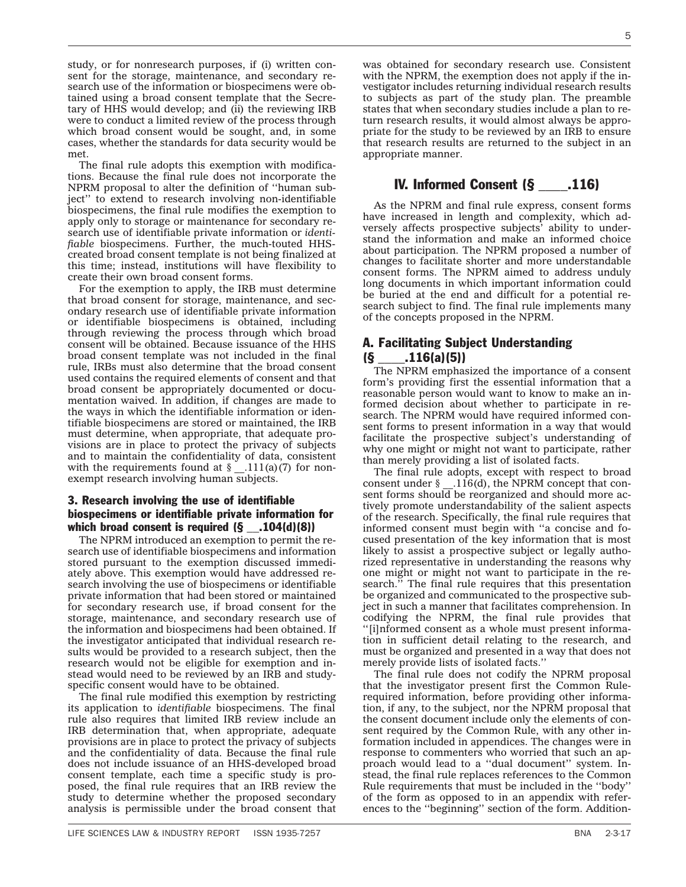study, or for nonresearch purposes, if (i) written consent for the storage, maintenance, and secondary research use of the information or biospecimens were obtained using a broad consent template that the Secretary of HHS would develop; and (ii) the reviewing IRB were to conduct a limited review of the process through which broad consent would be sought, and, in some cases, whether the standards for data security would be met.

The final rule adopts this exemption with modifications. Because the final rule does not incorporate the NPRM proposal to alter the definition of ''human subject'' to extend to research involving non-identifiable biospecimens, the final rule modifies the exemption to apply only to storage or maintenance for secondary research use of identifiable private information or *identifiable* biospecimens. Further, the much-touted HHScreated broad consent template is not being finalized at this time; instead, institutions will have flexibility to create their own broad consent forms.

For the exemption to apply, the IRB must determine that broad consent for storage, maintenance, and secondary research use of identifiable private information or identifiable biospecimens is obtained, including through reviewing the process through which broad consent will be obtained. Because issuance of the HHS broad consent template was not included in the final rule, IRBs must also determine that the broad consent used contains the required elements of consent and that broad consent be appropriately documented or documentation waived. In addition, if changes are made to the ways in which the identifiable information or identifiable biospecimens are stored or maintained, the IRB must determine, when appropriate, that adequate provisions are in place to protect the privacy of subjects and to maintain the confidentiality of data, consistent with the requirements found at  $\S$  \_.111(a)(7) for nonexempt research involving human subjects.

### 3. Research involving the use of identifiable biospecimens or identifiable private information for which broad consent is required  $(S_1, 104(d)(8))$

The NPRM introduced an exemption to permit the research use of identifiable biospecimens and information stored pursuant to the exemption discussed immediately above. This exemption would have addressed research involving the use of biospecimens or identifiable private information that had been stored or maintained for secondary research use, if broad consent for the storage, maintenance, and secondary research use of the information and biospecimens had been obtained. If the investigator anticipated that individual research results would be provided to a research subject, then the research would not be eligible for exemption and instead would need to be reviewed by an IRB and studyspecific consent would have to be obtained.

The final rule modified this exemption by restricting its application to *identifiable* biospecimens. The final rule also requires that limited IRB review include an IRB determination that, when appropriate, adequate provisions are in place to protect the privacy of subjects and the confidentiality of data. Because the final rule does not include issuance of an HHS-developed broad consent template, each time a specific study is proposed, the final rule requires that an IRB review the study to determine whether the proposed secondary analysis is permissible under the broad consent that

5

was obtained for secondary research use. Consistent with the NPRM, the exemption does not apply if the investigator includes returning individual research results to subjects as part of the study plan. The preamble states that when secondary studies include a plan to return research results, it would almost always be appropriate for the study to be reviewed by an IRB to ensure that research results are returned to the subject in an appropriate manner.

## IV. Informed Consent (§ \_\_\_\_.116)

As the NPRM and final rule express, consent forms have increased in length and complexity, which adversely affects prospective subjects' ability to understand the information and make an informed choice about participation. The NPRM proposed a number of changes to facilitate shorter and more understandable consent forms. The NPRM aimed to address unduly long documents in which important information could be buried at the end and difficult for a potential research subject to find. The final rule implements many of the concepts proposed in the NPRM.

### A. Facilitating Subject Understanding  $(S$  .116(a)(5))

The NPRM emphasized the importance of a consent form's providing first the essential information that a reasonable person would want to know to make an informed decision about whether to participate in research. The NPRM would have required informed consent forms to present information in a way that would facilitate the prospective subject's understanding of why one might or might not want to participate, rather than merely providing a list of isolated facts.

The final rule adopts, except with respect to broad consent under  $\frac{116}{d}$ , the NPRM concept that consent forms should be reorganized and should more actively promote understandability of the salient aspects of the research. Specifically, the final rule requires that informed consent must begin with ''a concise and focused presentation of the key information that is most likely to assist a prospective subject or legally authorized representative in understanding the reasons why one might or might not want to participate in the research. $\overline{P}$  The final rule requires that this presentation be organized and communicated to the prospective subject in such a manner that facilitates comprehension. In codifying the NPRM, the final rule provides that ''[i]nformed consent as a whole must present information in sufficient detail relating to the research, and must be organized and presented in a way that does not merely provide lists of isolated facts.''

The final rule does not codify the NPRM proposal that the investigator present first the Common Rulerequired information, before providing other information, if any, to the subject, nor the NPRM proposal that the consent document include only the elements of consent required by the Common Rule, with any other information included in appendices. The changes were in response to commenters who worried that such an approach would lead to a ''dual document'' system. Instead, the final rule replaces references to the Common Rule requirements that must be included in the ''body'' of the form as opposed to in an appendix with references to the ''beginning'' section of the form. Addition-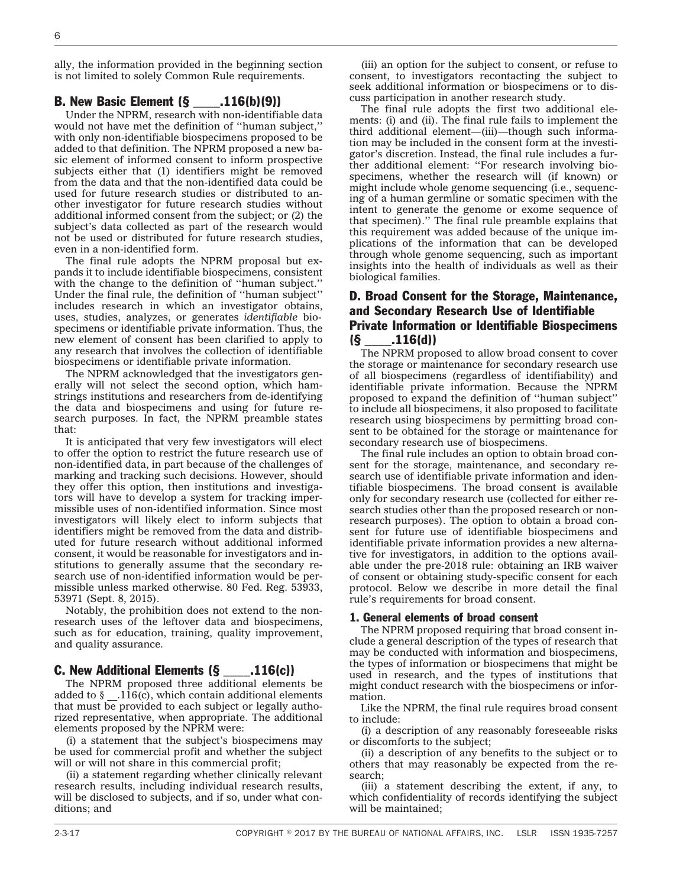ally, the information provided in the beginning section is not limited to solely Common Rule requirements.

### B. New Basic Element (§ \_\_\_\_.116(b)(9))

Under the NPRM, research with non-identifiable data would not have met the definition of ''human subject,'' with only non-identifiable biospecimens proposed to be added to that definition. The NPRM proposed a new basic element of informed consent to inform prospective subjects either that (1) identifiers might be removed from the data and that the non-identified data could be used for future research studies or distributed to another investigator for future research studies without additional informed consent from the subject; or (2) the subject's data collected as part of the research would not be used or distributed for future research studies, even in a non-identified form.

The final rule adopts the NPRM proposal but expands it to include identifiable biospecimens, consistent with the change to the definition of ''human subject.'' Under the final rule, the definition of ''human subject'' includes research in which an investigator obtains, uses, studies, analyzes, or generates *identifiable* biospecimens or identifiable private information. Thus, the new element of consent has been clarified to apply to any research that involves the collection of identifiable biospecimens or identifiable private information.

The NPRM acknowledged that the investigators generally will not select the second option, which hamstrings institutions and researchers from de-identifying the data and biospecimens and using for future research purposes. In fact, the NPRM preamble states that:

It is anticipated that very few investigators will elect to offer the option to restrict the future research use of non-identified data, in part because of the challenges of marking and tracking such decisions. However, should they offer this option, then institutions and investigators will have to develop a system for tracking impermissible uses of non-identified information. Since most investigators will likely elect to inform subjects that identifiers might be removed from the data and distributed for future research without additional informed consent, it would be reasonable for investigators and institutions to generally assume that the secondary research use of non-identified information would be permissible unless marked otherwise. 80 Fed. Reg. 53933, 53971 (Sept. 8, 2015).

Notably, the prohibition does not extend to the nonresearch uses of the leftover data and biospecimens, such as for education, training, quality improvement, and quality assurance.

#### C. New Additional Elements (§ \_\_\_\_.116(c))

The NPRM proposed three additional elements be added to  $\S$  \_.116(c), which contain additional elements that must be provided to each subject or legally authorized representative, when appropriate. The additional elements proposed by the NPRM were:

(i) a statement that the subject's biospecimens may be used for commercial profit and whether the subject will or will not share in this commercial profit;

(ii) a statement regarding whether clinically relevant research results, including individual research results, will be disclosed to subjects, and if so, under what conditions; and

(iii) an option for the subject to consent, or refuse to consent, to investigators recontacting the subject to seek additional information or biospecimens or to discuss participation in another research study.

The final rule adopts the first two additional elements: (i) and (ii). The final rule fails to implement the third additional element—(iii)—though such information may be included in the consent form at the investigator's discretion. Instead, the final rule includes a further additional element: ''For research involving biospecimens, whether the research will (if known) or might include whole genome sequencing (i.e., sequencing of a human germline or somatic specimen with the intent to generate the genome or exome sequence of that specimen).'' The final rule preamble explains that this requirement was added because of the unique implications of the information that can be developed through whole genome sequencing, such as important insights into the health of individuals as well as their biological families.

### D. Broad Consent for the Storage, Maintenance, and Secondary Research Use of Identifiable Private Information or Identifiable Biospecimens  $(S$  .116(d))

The NPRM proposed to allow broad consent to cover the storage or maintenance for secondary research use of all biospecimens (regardless of identifiability) and identifiable private information. Because the NPRM proposed to expand the definition of ''human subject'' to include all biospecimens, it also proposed to facilitate research using biospecimens by permitting broad consent to be obtained for the storage or maintenance for secondary research use of biospecimens.

The final rule includes an option to obtain broad consent for the storage, maintenance, and secondary research use of identifiable private information and identifiable biospecimens. The broad consent is available only for secondary research use (collected for either research studies other than the proposed research or nonresearch purposes). The option to obtain a broad consent for future use of identifiable biospecimens and identifiable private information provides a new alternative for investigators, in addition to the options available under the pre-2018 rule: obtaining an IRB waiver of consent or obtaining study-specific consent for each protocol. Below we describe in more detail the final rule's requirements for broad consent.

#### 1. General elements of broad consent

The NPRM proposed requiring that broad consent include a general description of the types of research that may be conducted with information and biospecimens, the types of information or biospecimens that might be used in research, and the types of institutions that might conduct research with the biospecimens or information.

Like the NPRM, the final rule requires broad consent to include:

(i) a description of any reasonably foreseeable risks or discomforts to the subject;

(ii) a description of any benefits to the subject or to others that may reasonably be expected from the research;

(iii) a statement describing the extent, if any, to which confidentiality of records identifying the subject will be maintained;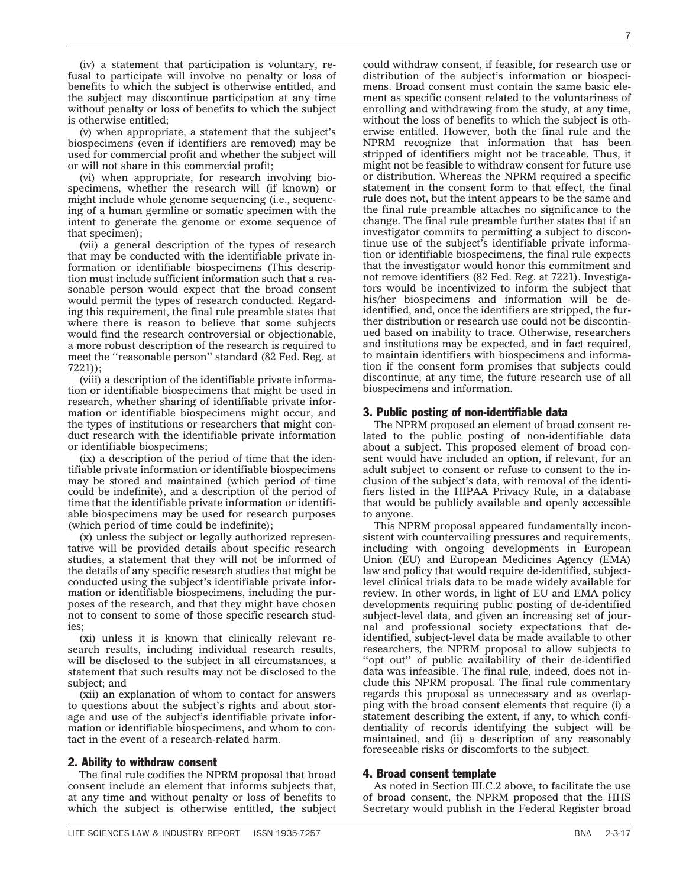(iv) a statement that participation is voluntary, refusal to participate will involve no penalty or loss of benefits to which the subject is otherwise entitled, and the subject may discontinue participation at any time without penalty or loss of benefits to which the subject is otherwise entitled;

(v) when appropriate, a statement that the subject's biospecimens (even if identifiers are removed) may be used for commercial profit and whether the subject will or will not share in this commercial profit;

(vi) when appropriate, for research involving biospecimens, whether the research will (if known) or might include whole genome sequencing (i.e., sequencing of a human germline or somatic specimen with the intent to generate the genome or exome sequence of that specimen);

(vii) a general description of the types of research that may be conducted with the identifiable private information or identifiable biospecimens (This description must include sufficient information such that a reasonable person would expect that the broad consent would permit the types of research conducted. Regarding this requirement, the final rule preamble states that where there is reason to believe that some subjects would find the research controversial or objectionable, a more robust description of the research is required to meet the ''reasonable person'' standard (82 Fed. Reg. at 7221));

(viii) a description of the identifiable private information or identifiable biospecimens that might be used in research, whether sharing of identifiable private information or identifiable biospecimens might occur, and the types of institutions or researchers that might conduct research with the identifiable private information or identifiable biospecimens;

(ix) a description of the period of time that the identifiable private information or identifiable biospecimens may be stored and maintained (which period of time could be indefinite), and a description of the period of time that the identifiable private information or identifiable biospecimens may be used for research purposes (which period of time could be indefinite);

(x) unless the subject or legally authorized representative will be provided details about specific research studies, a statement that they will not be informed of the details of any specific research studies that might be conducted using the subject's identifiable private information or identifiable biospecimens, including the purposes of the research, and that they might have chosen not to consent to some of those specific research studies;

(xi) unless it is known that clinically relevant research results, including individual research results, will be disclosed to the subject in all circumstances, a statement that such results may not be disclosed to the subject; and

(xii) an explanation of whom to contact for answers to questions about the subject's rights and about storage and use of the subject's identifiable private information or identifiable biospecimens, and whom to contact in the event of a research-related harm.

#### 2. Ability to withdraw consent

The final rule codifies the NPRM proposal that broad consent include an element that informs subjects that, at any time and without penalty or loss of benefits to which the subject is otherwise entitled, the subject

could withdraw consent, if feasible, for research use or distribution of the subject's information or biospecimens. Broad consent must contain the same basic element as specific consent related to the voluntariness of enrolling and withdrawing from the study, at any time, without the loss of benefits to which the subject is otherwise entitled. However, both the final rule and the NPRM recognize that information that has been stripped of identifiers might not be traceable. Thus, it might not be feasible to withdraw consent for future use or distribution. Whereas the NPRM required a specific statement in the consent form to that effect, the final rule does not, but the intent appears to be the same and the final rule preamble attaches no significance to the change. The final rule preamble further states that if an investigator commits to permitting a subject to discontinue use of the subject's identifiable private information or identifiable biospecimens, the final rule expects that the investigator would honor this commitment and not remove identifiers (82 Fed. Reg. at 7221). Investigators would be incentivized to inform the subject that his/her biospecimens and information will be deidentified, and, once the identifiers are stripped, the further distribution or research use could not be discontinued based on inability to trace. Otherwise, researchers and institutions may be expected, and in fact required, to maintain identifiers with biospecimens and information if the consent form promises that subjects could discontinue, at any time, the future research use of all biospecimens and information.

#### 3. Public posting of non-identifiable data

The NPRM proposed an element of broad consent related to the public posting of non-identifiable data about a subject. This proposed element of broad consent would have included an option, if relevant, for an adult subject to consent or refuse to consent to the inclusion of the subject's data, with removal of the identifiers listed in the HIPAA Privacy Rule, in a database that would be publicly available and openly accessible to anyone.

This NPRM proposal appeared fundamentally inconsistent with countervailing pressures and requirements, including with ongoing developments in European Union (EU) and European Medicines Agency (EMA) law and policy that would require de-identified, subjectlevel clinical trials data to be made widely available for review. In other words, in light of EU and EMA policy developments requiring public posting of de-identified subject-level data, and given an increasing set of journal and professional society expectations that deidentified, subject-level data be made available to other researchers, the NPRM proposal to allow subjects to "opt out" of public availability of their de-identified data was infeasible. The final rule, indeed, does not include this NPRM proposal. The final rule commentary regards this proposal as unnecessary and as overlapping with the broad consent elements that require (i) a statement describing the extent, if any, to which confidentiality of records identifying the subject will be maintained, and (ii) a description of any reasonably foreseeable risks or discomforts to the subject.

#### 4. Broad consent template

As noted in Section III.C.2 above, to facilitate the use of broad consent, the NPRM proposed that the HHS Secretary would publish in the Federal Register broad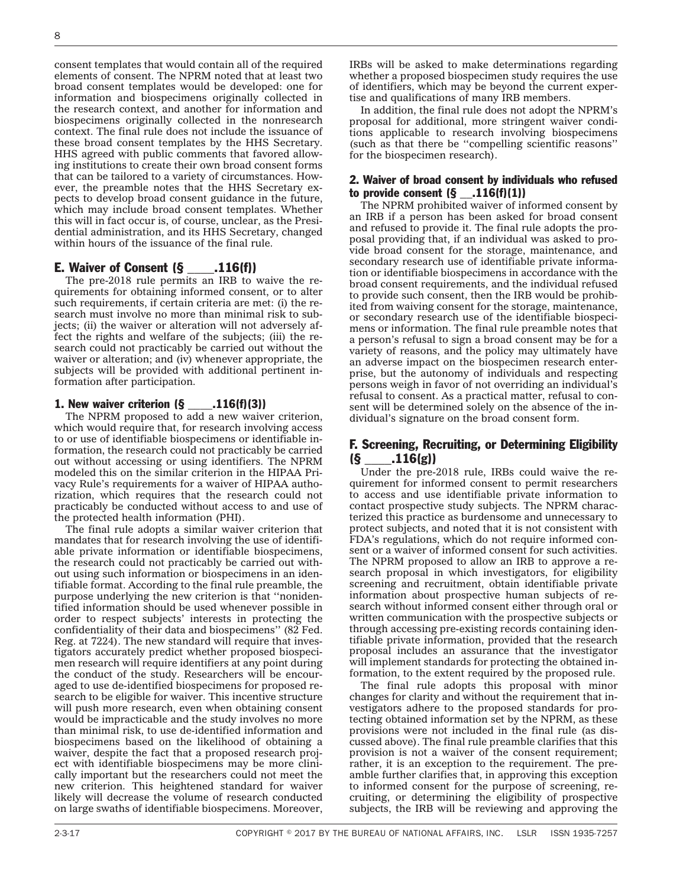consent templates that would contain all of the required elements of consent. The NPRM noted that at least two broad consent templates would be developed: one for information and biospecimens originally collected in the research context, and another for information and biospecimens originally collected in the nonresearch context. The final rule does not include the issuance of these broad consent templates by the HHS Secretary. HHS agreed with public comments that favored allowing institutions to create their own broad consent forms that can be tailored to a variety of circumstances. However, the preamble notes that the HHS Secretary expects to develop broad consent guidance in the future, which may include broad consent templates. Whether this will in fact occur is, of course, unclear, as the Presidential administration, and its HHS Secretary, changed within hours of the issuance of the final rule.

### E. Waiver of Consent (§ \_\_\_\_.116(f))

The pre-2018 rule permits an IRB to waive the requirements for obtaining informed consent, or to alter such requirements, if certain criteria are met: (i) the research must involve no more than minimal risk to subjects; (ii) the waiver or alteration will not adversely affect the rights and welfare of the subjects; (iii) the research could not practicably be carried out without the waiver or alteration; and (iv) whenever appropriate, the subjects will be provided with additional pertinent information after participation.

#### 1. New waiver criterion  $(\S$  .116(f)(3))

The NPRM proposed to add a new waiver criterion, which would require that, for research involving access to or use of identifiable biospecimens or identifiable information, the research could not practicably be carried out without accessing or using identifiers. The NPRM modeled this on the similar criterion in the HIPAA Privacy Rule's requirements for a waiver of HIPAA authorization, which requires that the research could not practicably be conducted without access to and use of the protected health information (PHI).

The final rule adopts a similar waiver criterion that mandates that for research involving the use of identifiable private information or identifiable biospecimens, the research could not practicably be carried out without using such information or biospecimens in an identifiable format. According to the final rule preamble, the purpose underlying the new criterion is that ''nonidentified information should be used whenever possible in order to respect subjects' interests in protecting the confidentiality of their data and biospecimens'' (82 Fed. Reg. at 7224). The new standard will require that investigators accurately predict whether proposed biospecimen research will require identifiers at any point during the conduct of the study. Researchers will be encouraged to use de-identified biospecimens for proposed research to be eligible for waiver. This incentive structure will push more research, even when obtaining consent would be impracticable and the study involves no more than minimal risk, to use de-identified information and biospecimens based on the likelihood of obtaining a waiver, despite the fact that a proposed research project with identifiable biospecimens may be more clinically important but the researchers could not meet the new criterion. This heightened standard for waiver likely will decrease the volume of research conducted on large swaths of identifiable biospecimens. Moreover,

IRBs will be asked to make determinations regarding whether a proposed biospecimen study requires the use of identifiers, which may be beyond the current expertise and qualifications of many IRB members.

In addition, the final rule does not adopt the NPRM's proposal for additional, more stringent waiver conditions applicable to research involving biospecimens (such as that there be ''compelling scientific reasons'' for the biospecimen research).

#### 2. Waiver of broad consent by individuals who refused to provide consent  $(§$  \_\_.116(f)(1))

The NPRM prohibited waiver of informed consent by an IRB if a person has been asked for broad consent and refused to provide it. The final rule adopts the proposal providing that, if an individual was asked to provide broad consent for the storage, maintenance, and secondary research use of identifiable private information or identifiable biospecimens in accordance with the broad consent requirements, and the individual refused to provide such consent, then the IRB would be prohibited from waiving consent for the storage, maintenance, or secondary research use of the identifiable biospecimens or information. The final rule preamble notes that a person's refusal to sign a broad consent may be for a variety of reasons, and the policy may ultimately have an adverse impact on the biospecimen research enterprise, but the autonomy of individuals and respecting persons weigh in favor of not overriding an individual's refusal to consent. As a practical matter, refusal to consent will be determined solely on the absence of the individual's signature on the broad consent form.

#### F. Screening, Recruiting, or Determining Eligibility (§ \_\_\_\_.116(g))

Under the pre-2018 rule, IRBs could waive the requirement for informed consent to permit researchers to access and use identifiable private information to contact prospective study subjects. The NPRM characterized this practice as burdensome and unnecessary to protect subjects, and noted that it is not consistent with FDA's regulations, which do not require informed consent or a waiver of informed consent for such activities. The NPRM proposed to allow an IRB to approve a research proposal in which investigators, for eligibility screening and recruitment, obtain identifiable private information about prospective human subjects of research without informed consent either through oral or written communication with the prospective subjects or through accessing pre-existing records containing identifiable private information, provided that the research proposal includes an assurance that the investigator will implement standards for protecting the obtained information, to the extent required by the proposed rule.

The final rule adopts this proposal with minor changes for clarity and without the requirement that investigators adhere to the proposed standards for protecting obtained information set by the NPRM, as these provisions were not included in the final rule (as discussed above). The final rule preamble clarifies that this provision is not a waiver of the consent requirement; rather, it is an exception to the requirement. The preamble further clarifies that, in approving this exception to informed consent for the purpose of screening, recruiting, or determining the eligibility of prospective subjects, the IRB will be reviewing and approving the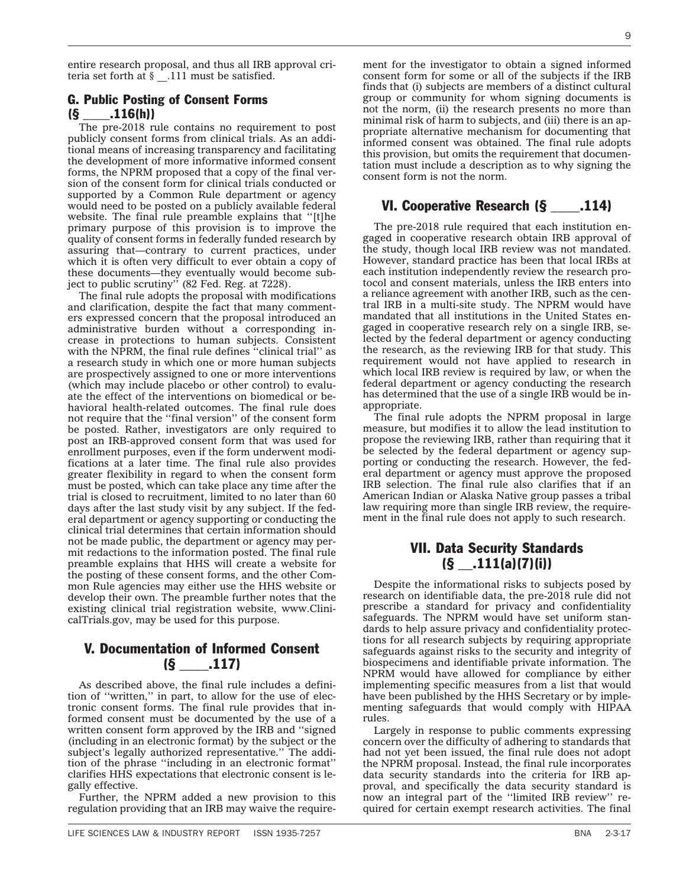entire research proposal, and thus all IRB approval criteria set forth at  $\frac{1}{2}$ . 111 must be satisfied.

### G. Public Posting of Consent Forms  $(S$  .116(h))

The pre-2018 rule contains no requirement to post publicly consent forms from clinical trials. As an additional means of increasing transparency and facilitating the development of more informative informed consent forms, the NPRM proposed that a copy of the final version of the consent form for clinical trials conducted or supported by a Common Rule department or agency would need to be posted on a publicly available federal website. The final rule preamble explains that ''[t]he primary purpose of this provision is to improve the quality of consent forms in federally funded research by assuring that—contrary to current practices, under which it is often very difficult to ever obtain a copy of these documents—they eventually would become subject to public scrutiny'' (82 Fed. Reg. at 7228).

The final rule adopts the proposal with modifications and clarification, despite the fact that many commenters expressed concern that the proposal introduced an administrative burden without a corresponding increase in protections to human subjects. Consistent with the NPRM, the final rule defines "clinical trial" as a research study in which one or more human subjects are prospectively assigned to one or more interventions (which may include placebo or other control) to evaluate the effect of the interventions on biomedical or behavioral health-related outcomes. The final rule does not require that the ''final version'' of the consent form be posted. Rather, investigators are only required to post an IRB-approved consent form that was used for enrollment purposes, even if the form underwent modifications at a later time. The final rule also provides greater flexibility in regard to when the consent form must be posted, which can take place any time after the trial is closed to recruitment, limited to no later than 60 days after the last study visit by any subject. If the federal department or agency supporting or conducting the clinical trial determines that certain information should not be made public, the department or agency may permit redactions to the information posted. The final rule preamble explains that HHS will create a website for the posting of these consent forms, and the other Common Rule agencies may either use the HHS website or develop their own. The preamble further notes that the existing clinical trial registration website, www.ClinicalTrials.gov, may be used for this purpose.

## V. Documentation of Informed Consent  $(S_{1117})$

As described above, the final rule includes a definition of ''written,'' in part, to allow for the use of electronic consent forms. The final rule provides that informed consent must be documented by the use of a written consent form approved by the IRB and ''signed (including in an electronic format) by the subject or the subject's legally authorized representative.'' The addition of the phrase ''including in an electronic format'' clarifies HHS expectations that electronic consent is legally effective.

Further, the NPRM added a new provision to this regulation providing that an IRB may waive the require-

ment for the investigator to obtain a signed informed consent form for some or all of the subjects if the IRB finds that (i) subjects are members of a distinct cultural group or community for whom signing documents is not the norm, (ii) the research presents no more than minimal risk of harm to subjects, and (iii) there is an appropriate alternative mechanism for documenting that informed consent was obtained. The final rule adopts this provision, but omits the requirement that documentation must include a description as to why signing the consent form is not the norm.

### VI. Cooperative Research (§ \_\_\_\_.114)

The pre-2018 rule required that each institution engaged in cooperative research obtain IRB approval of the study, though local IRB review was not mandated. However, standard practice has been that local IRBs at each institution independently review the research protocol and consent materials, unless the IRB enters into a reliance agreement with another IRB, such as the central IRB in a multi-site study. The NPRM would have mandated that all institutions in the United States engaged in cooperative research rely on a single IRB, selected by the federal department or agency conducting the research, as the reviewing IRB for that study. This requirement would not have applied to research in which local IRB review is required by law, or when the federal department or agency conducting the research has determined that the use of a single IRB would be inappropriate.

The final rule adopts the NPRM proposal in large measure, but modifies it to allow the lead institution to propose the reviewing IRB, rather than requiring that it be selected by the federal department or agency supporting or conducting the research. However, the federal department or agency must approve the proposed IRB selection. The final rule also clarifies that if an American Indian or Alaska Native group passes a tribal law requiring more than single IRB review, the requirement in the final rule does not apply to such research.

## VII. Data Security Standards  $(S$  \_\_\_\_. 111(a)(7)(i))

Despite the informational risks to subjects posed by research on identifiable data, the pre-2018 rule did not prescribe a standard for privacy and confidentiality safeguards. The NPRM would have set uniform standards to help assure privacy and confidentiality protections for all research subjects by requiring appropriate safeguards against risks to the security and integrity of biospecimens and identifiable private information. The NPRM would have allowed for compliance by either implementing specific measures from a list that would have been published by the HHS Secretary or by implementing safeguards that would comply with HIPAA rules.

Largely in response to public comments expressing concern over the difficulty of adhering to standards that had not yet been issued, the final rule does not adopt the NPRM proposal. Instead, the final rule incorporates data security standards into the criteria for IRB approval, and specifically the data security standard is now an integral part of the ''limited IRB review'' required for certain exempt research activities. The final